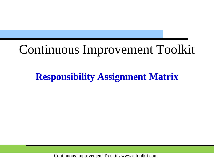# Continuous Improvement Toolkit

# **Responsibility Assignment Matrix**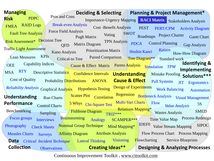Check Sheets **Data** Critical Incident Technique Lateral Thinking **Collection** Affinity Diagram Attribute Analysis **Designing & Analyzing Processes** Flow Process Chart Process Mapping **Flowcharting** 5S Value Stream Mapping Control Charts **Value Analysis** Chi-Square Test **Value Analysis** Tree Diagram\*\* **Understanding Performance** Capability Indices Cost of Quality Fishbone Diagram Design of Experiments Mork Balancing **Identifying & Implementing** Mistake Proofing **Solutions**\*\*\* How-How Diagram **Creating Ideas\*\* Brainstorming** Mind Mapping\* **Deciding & Selecting** Risk Assessment\* Decision Tree Force Field Analysis Importance-Urgency Mapping **RACI Matrix** Stakeholders Analysis Voting **Planning & Project Management\*** PERT/CPM Activity Diagram Gantt Chart *Kaizen* SMED **Managing Risk** FMEA PDPC RAID Logs **Observations Interviews Understanding Cause & Effect MSA** Cause & Effect Matrix Pareto Analysis **Surveys** IDEF0 5 Whys Chi-Square Test Multi-Vari Charts Nominal Group Technique Pugh Matrix Kano Analysis Lean Measures KPIs Cost -Benefit Analysis Wastes Analysis Fault Tree Analysis Relations Mapping\* Benchmarking Sampling Visioning Descriptive Statistics Confidence Intervals Scatter Plot Correlation Matrix Diagram SIPOC Prioritization Matrix Roadmaps Project Charter Critical-to Tree Paired Comparison Focus groups QFD Reliability Analysis Graphical Analysis Hypothesis Testing Probability Distributions **OEE** Pull Systems JIT Regression Bottleneck Analysis Visual Management **Ergonomics** Standard work SCAMPER\*\*\* Flow Time Value Map Process Redesign Measles Charts Analogy ANOVA Traffic Light Assessment TPN Analysis Pros and Cons **PEST Photography** TRIZ\*\*\* Automation Simulation *TPM* Break-even Analysis Service Blueprints *PDCA* Run Charts RTY Control Planning SWOT Gap Analysis Hoshin Kanri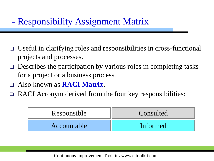- Useful in clarifying roles and responsibilities in cross-functional projects and processes.
- $\Box$  Describes the participation by various roles in completing tasks for a project or a business process.
- Also known as **RACI Matrix**.
- RACI Acronym derived from the four key responsibilities:

| Responsible | Consulted |  |  |
|-------------|-----------|--|--|
| Accountable | Informed  |  |  |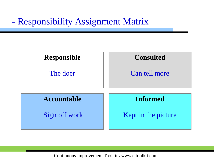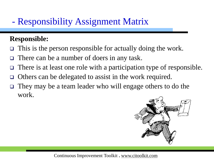#### **Responsible:**

- $\Box$  This is the person responsible for actually doing the work.
- There can be a number of doers in any task.
- There is at least one role with a participation type of responsible.
- Others can be delegated to assist in the work required.
- They may be a team leader who will engage others to do the work.

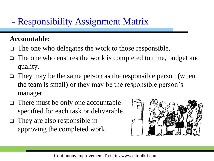#### **Accountable:**

- $\Box$  The one who delegates the work to those responsible.
- The one who ensures the work is completed to time, budget and quality.
- $\Box$  They may be the same person as the responsible person (when the team is small) or they may be the responsible person's manager.
- There must be only one accountable specified for each task or deliverable.
- They are also responsible in approving the completed work.

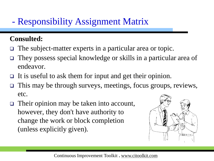#### **Consulted:**

- The subject-matter experts in a particular area or topic.
- They possess special knowledge or skills in a particular area of endeavor.
- It is useful to ask them for input and get their opinion.
- This may be through surveys, meetings, focus groups, reviews, etc.
- □ Their opinion may be taken into account, however, they don't have authority to change the work or block completion (unless explicitly given).

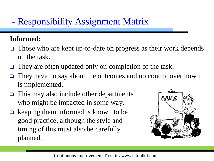#### **Informed:**

- Those who are kept up-to-date on progress as their work depends on the task.
- $\Box$  They are often updated only on completion of the task.
- They have no say about the outcomes and no control over how it is implemented.
- $\Box$  This may also include other departments who might be impacted in some way.
- $\Box$  keeping them informed is known to be good practice, although the style and timing of this must also be carefully planned.

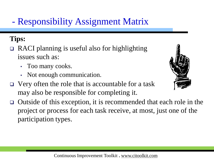#### **Tips:**

- RACI planning is useful also for highlighting issues such as:
	- Too many cooks.
	- Not enough communication.
- $\Box$  Very often the role that is accountable for a task may also be responsible for completing it.
- Outside of this exception, it is recommended that each role in the project or process for each task receive, at most, just one of the participation types.

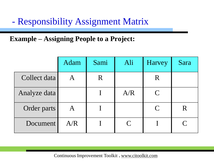#### **Example – Assigning People to a Project:**

|              | <b>Adam</b>       | Sami    | Ali       | <b>Harvey</b> | Sara      |
|--------------|-------------------|---------|-----------|---------------|-----------|
| Collect data |                   | $\rm R$ |           | R             |           |
| Analyze data |                   |         | A/R       | $\mathcal C$  |           |
| Order parts  | $\bm{\mathsf{A}}$ |         |           | $\mathsf{C}$  |           |
| Document     | A/R               |         | $\bigcap$ |               | $\bigcap$ |